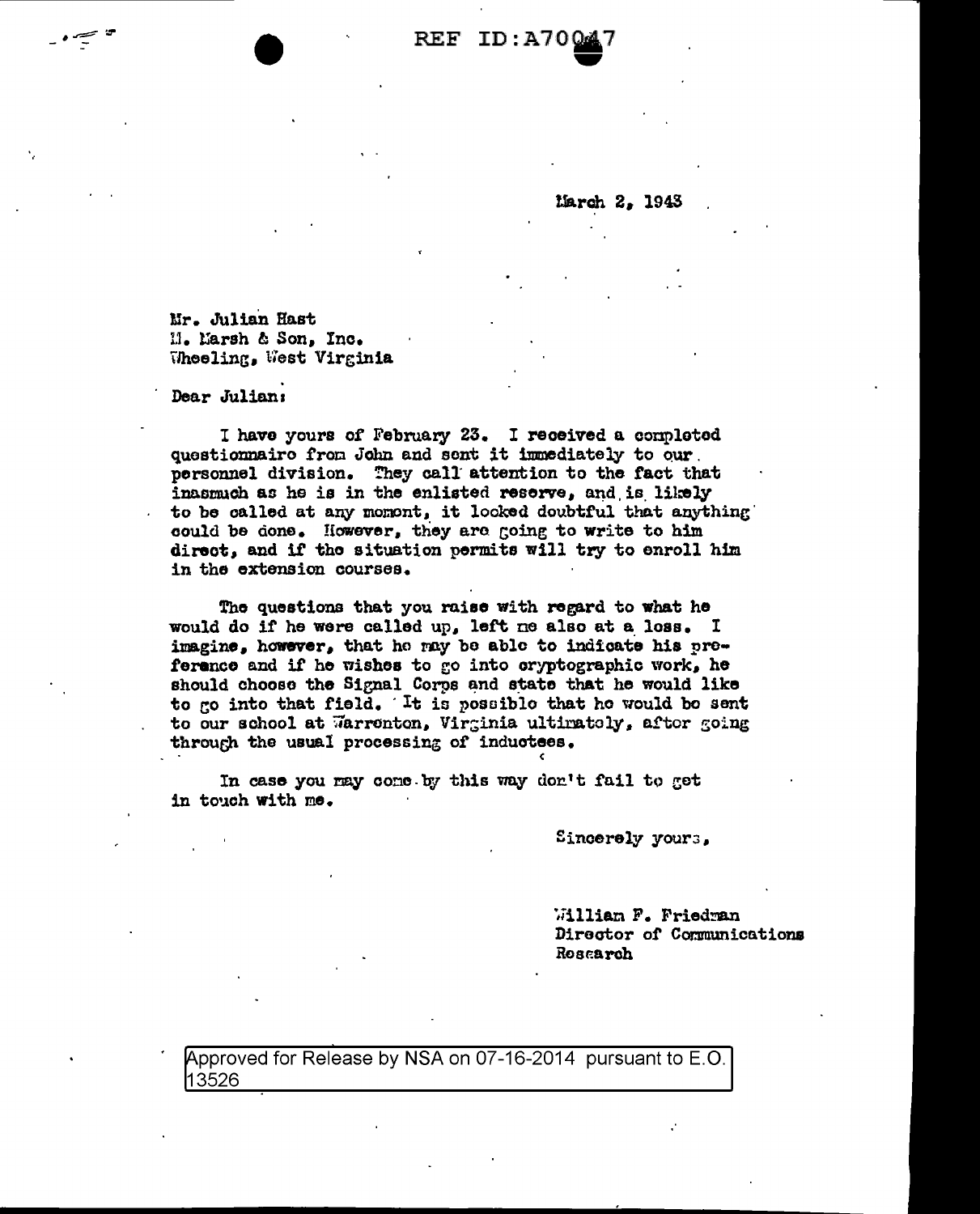**REF ID:A70** 

*larch* 2, 1943

Mr. Julian Hast Il. Larsh & Son, Inc. Theeling, West Virginia

Dear Julian:

I have yours of February 23. I received a completed questionnaire from John and sent it immediately to our. personnel division. They call attention to the fact that inasmuch as he is in the enlisted reserve, and is likely to be called at any momont, it looked doubtful that anything could be done. However, they are going to write to him direct, and if the situation permits will try to enroll him in the extension courses.

The questions that you raise with regard to what he would do if he were called up, left me also at a loss. I imagine, however, that he may be able to indicate his preference and if he wishes to go into cryptographic work, he should choose the Signal Corps and state that he would like to go into that field. It is possible that he would be sent to our school at Warronton, Virginia ultimately, after going through the usual processing of inductees.

In case you may come by this way don't fail to get in touch with me.

Sincerely yours,

William F. Friedran Director of Communications Rosarrch

Approved for Release by NSA on 07-16-2014 pursuant to E.O. 13526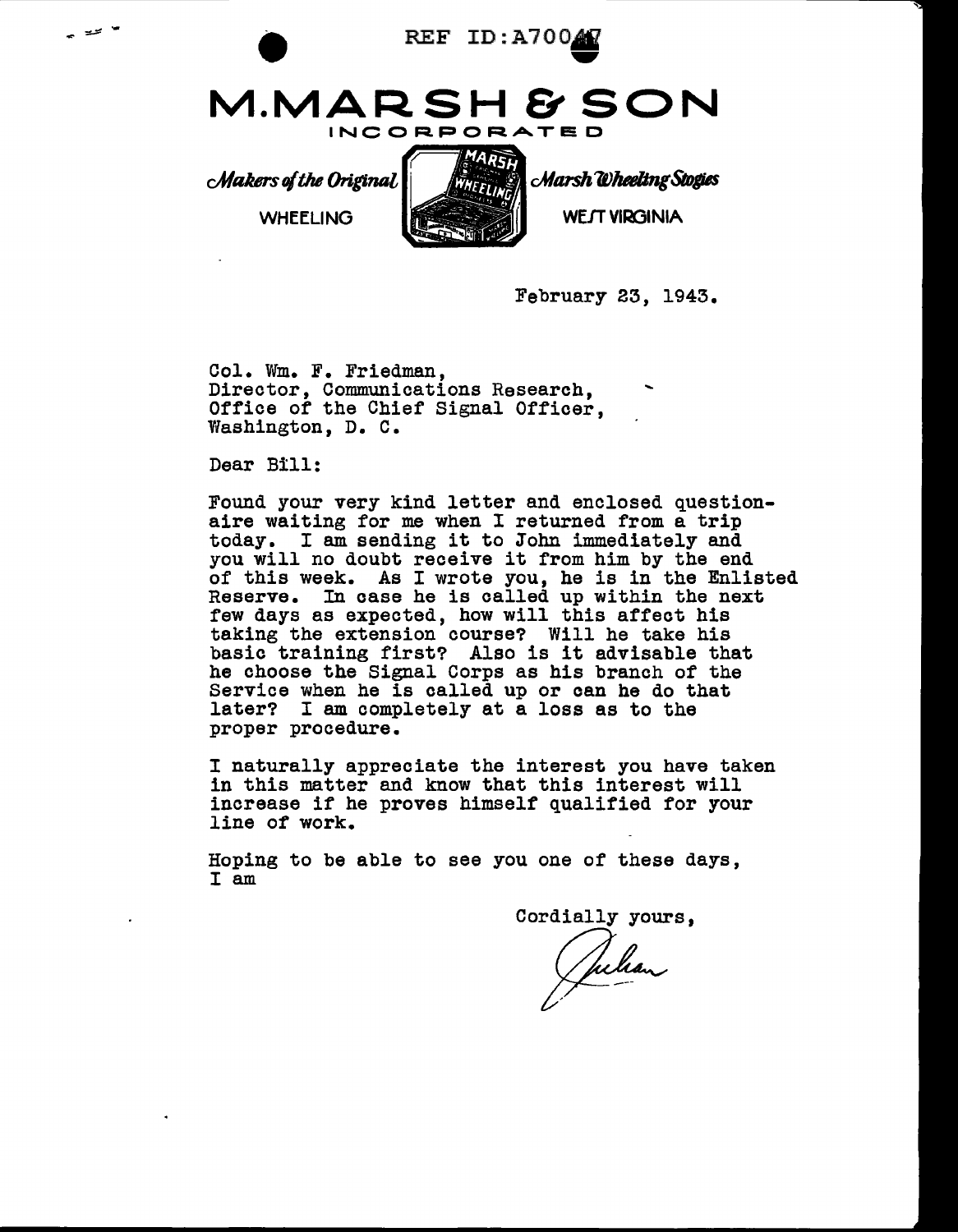

EE ID:A7004 **M.MARSH & SON**  INCORPORATED

*<i>CMakers* of the Original

WHEELING



Marsh Wheeling Stogies

WEJT VIRGINIA

February 23, 1943.

Col. Wm. F. Friedman, Director, Communications Research, Office of the Chief Signal Officer, Washington, D. c.

Dear Bill:

Found your very kind letter and enclosed question- aire waiting for me when I returned from a trip today. I am sending it to John immediately and you will no doubt receive it from him by the end of this week. As I wrote you, he is in the Enlisted Reserve. In case he is called up within the next few days as expected, how will this affect his taking the extension course? Will he take his basic training first? Also is it advisable that he choose the Signal Corps as his branch of the Service when he is called up or can he do that later? I am completely at a loss as to the proper procedure.

<sup>I</sup>naturally appreciate the interest you have taken in this matter and know that this interest will increase if he proves himself qualified for your line of work.

Hoping to be able to see you one of these days, I am

Cordially yours,

Julian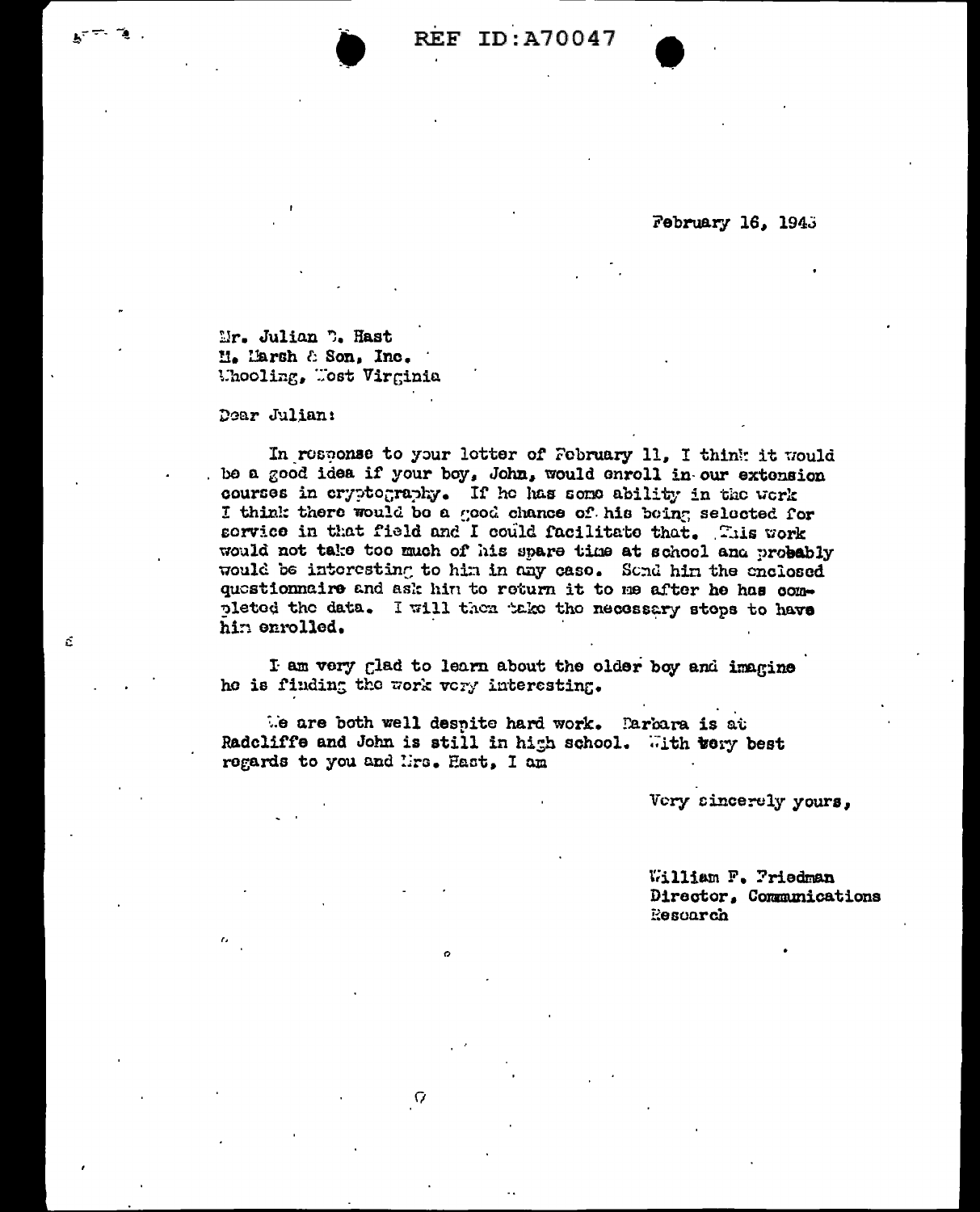## February 16, 1945

Mr. Julian D. Hast M. Marsh & Son, Inc. Uhooling, Uost Virginia

Dear Julian:

 $\tilde{\Omega}$ 

In response to your letter of February 11. I think it would be a good idea if your boy, John, would enroll in our extension courses in cryptography. If he has some ability in the work I think there would be a good chance of his being selected for sorvice in that field and I could facilitate that. This work would not take too much of his spare time at school and probably would be interesting to him in any case. Sond him the enclosed questionnaire and ask him to return it to me after he has completed the data. I will then take the necessary steps to have hin enrolled.

I am very glad to learn about the older boy and imagine he is finding the work very interesting.

the are both well despite hard work. Earbara is at Radcliffe and John is still in high school. With wery best regards to you and lirs. Hast, I am

Ω

Very sincerely yours,

William F. Priedman Director, Communications Rescarch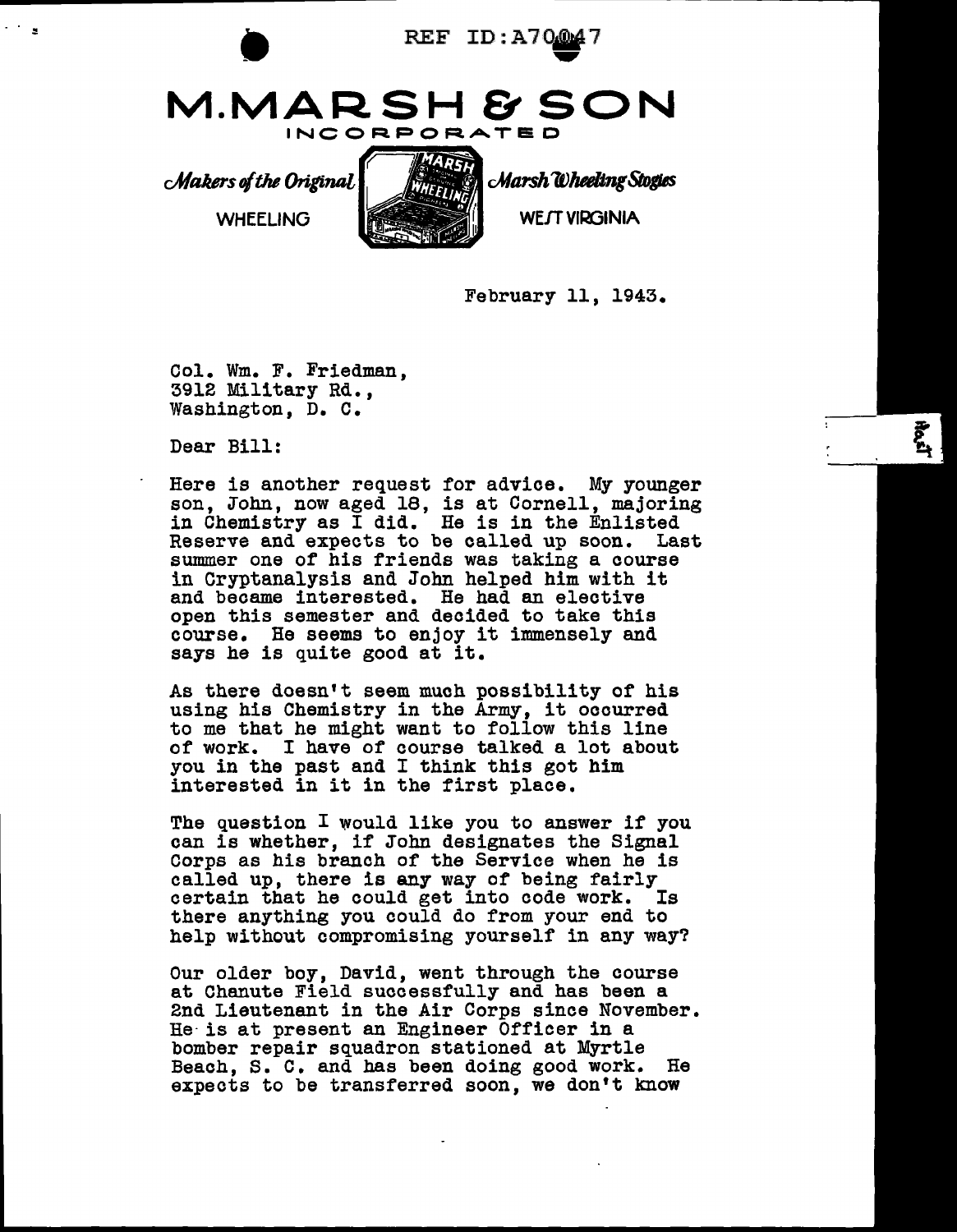

February 11, 1943.

Col. Wm. F. Friedman, 3912 Military Rd., Washington, D. c.

Dear Bill:

Here is another request for advice. My younger son, John, now aged 18, is at Cornell, majoring in Chemistry as I did. He is in the Enlisted Reserve and expects to be called up soon. Last summer one of his friends was taking a course in Cryptanalysis and John helped him with it and became interested. He had an elective open this semester and decided to take this course. He seems to enjoy it immensely and says he is quite good at it.

As there doesn't seem much possibility of his using his Chemistry in the Army, it ooourred to me that he might want to follow this line of work. I have of course talked a lot about you in the past and I think this got him interested in it in the first place.

The question I would like you to answer if you can is whether, if John designates the Signal Corps as his branch of the Service when he is called up, there is any way of being fairly certain that he could get into oode work. Is there anything you could do from your end to help without compromising yourself in any way?

Our older boy, David, went through the course at Chanute Field successfully and has been a 2nd Lieutenant in the Air Corps since November. He is at present an Engineer Officer in a bomber repair squadron stationed at Myrtle Beach, S. C. and has been doing good work. He expects to be transferred soon, we don't know